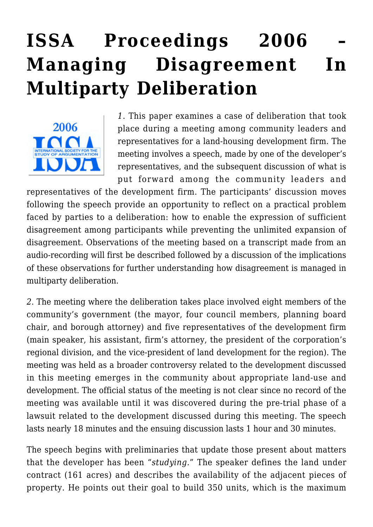# **[ISSA Proceedings 2006 –](https://rozenbergquarterly.com/issa-proceedings-2006-managing-disagreement-in-multiparty-deliberation/) [Managing Disagreement In](https://rozenbergquarterly.com/issa-proceedings-2006-managing-disagreement-in-multiparty-deliberation/) [Multiparty Deliberation](https://rozenbergquarterly.com/issa-proceedings-2006-managing-disagreement-in-multiparty-deliberation/)**



*1*. This paper examines a case of deliberation that took place during a meeting among community leaders and representatives for a land-housing development firm. The meeting involves a speech, made by one of the developer's representatives, and the subsequent discussion of what is put forward among the community leaders and

representatives of the development firm. The participants' discussion moves following the speech provide an opportunity to reflect on a practical problem faced by parties to a deliberation: how to enable the expression of sufficient disagreement among participants while preventing the unlimited expansion of disagreement. Observations of the meeting based on a transcript made from an audio-recording will first be described followed by a discussion of the implications of these observations for further understanding how disagreement is managed in multiparty deliberation.

*2*. The meeting where the deliberation takes place involved eight members of the community's government (the mayor, four council members, planning board chair, and borough attorney) and five representatives of the development firm (main speaker, his assistant, firm's attorney, the president of the corporation's regional division, and the vice-president of land development for the region). The meeting was held as a broader controversy related to the development discussed in this meeting emerges in the community about appropriate land-use and development. The official status of the meeting is not clear since no record of the meeting was available until it was discovered during the pre-trial phase of a lawsuit related to the development discussed during this meeting. The speech lasts nearly 18 minutes and the ensuing discussion lasts 1 hour and 30 minutes.

The speech begins with preliminaries that update those present about matters that the developer has been "*studying*." The speaker defines the land under contract (161 acres) and describes the availability of the adjacent pieces of property. He points out their goal to build 350 units, which is the maximum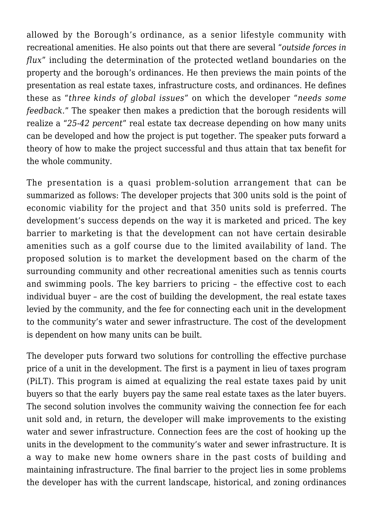allowed by the Borough's ordinance, as a senior lifestyle community with recreational amenities. He also points out that there are several "*outside forces in flux*" including the determination of the protected wetland boundaries on the property and the borough's ordinances. He then previews the main points of the presentation as real estate taxes, infrastructure costs, and ordinances. He defines these as "*three kinds of global issues*" on which the developer "*needs some feedback*." The speaker then makes a prediction that the borough residents will realize a "*25-42 percent*" real estate tax decrease depending on how many units can be developed and how the project is put together. The speaker puts forward a theory of how to make the project successful and thus attain that tax benefit for the whole community.

The presentation is a quasi problem-solution arrangement that can be summarized as follows: The developer projects that 300 units sold is the point of economic viability for the project and that 350 units sold is preferred. The development's success depends on the way it is marketed and priced. The key barrier to marketing is that the development can not have certain desirable amenities such as a golf course due to the limited availability of land. The proposed solution is to market the development based on the charm of the surrounding community and other recreational amenities such as tennis courts and swimming pools. The key barriers to pricing – the effective cost to each individual buyer – are the cost of building the development, the real estate taxes levied by the community, and the fee for connecting each unit in the development to the community's water and sewer infrastructure. The cost of the development is dependent on how many units can be built.

The developer puts forward two solutions for controlling the effective purchase price of a unit in the development. The first is a payment in lieu of taxes program (PiLT). This program is aimed at equalizing the real estate taxes paid by unit buyers so that the early buyers pay the same real estate taxes as the later buyers. The second solution involves the community waiving the connection fee for each unit sold and, in return, the developer will make improvements to the existing water and sewer infrastructure. Connection fees are the cost of hooking up the units in the development to the community's water and sewer infrastructure. It is a way to make new home owners share in the past costs of building and maintaining infrastructure. The final barrier to the project lies in some problems the developer has with the current landscape, historical, and zoning ordinances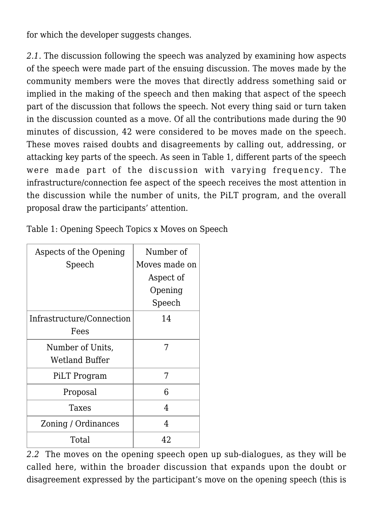for which the developer suggests changes.

*2.1.* The discussion following the speech was analyzed by examining how aspects of the speech were made part of the ensuing discussion. The moves made by the community members were the moves that directly address something said or implied in the making of the speech and then making that aspect of the speech part of the discussion that follows the speech. Not every thing said or turn taken in the discussion counted as a move. Of all the contributions made during the 90 minutes of discussion, 42 were considered to be moves made on the speech. These moves raised doubts and disagreements by calling out, addressing, or attacking key parts of the speech. As seen in Table 1, different parts of the speech were made part of the discussion with varying frequency. The infrastructure/connection fee aspect of the speech receives the most attention in the discussion while the number of units, the PiLT program, and the overall proposal draw the participants' attention.

| Aspects of the Opening    | Number of     |
|---------------------------|---------------|
| Speech                    | Moves made on |
|                           | Aspect of     |
|                           | Opening       |
|                           | Speech        |
| Infrastructure/Connection | 14            |
| Fees                      |               |
| Number of Units,          | 7             |
| Wetland Buffer            |               |
| PiLT Program              | 7             |
| Proposal                  | 6             |
| Taxes                     | 4             |
| Zoning / Ordinances       | 4             |
| Total                     | 42            |

Table 1: Opening Speech Topics x Moves on Speech

*2.2* The moves on the opening speech open up sub-dialogues, as they will be called here, within the broader discussion that expands upon the doubt or disagreement expressed by the participant's move on the opening speech (this is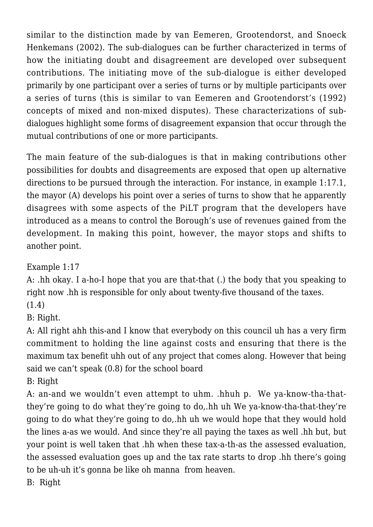similar to the distinction made by van Eemeren, Grootendorst, and Snoeck Henkemans (2002). The sub-dialogues can be further characterized in terms of how the initiating doubt and disagreement are developed over subsequent contributions. The initiating move of the sub-dialogue is either developed primarily by one participant over a series of turns or by multiple participants over a series of turns (this is similar to van Eemeren and Grootendorst's (1992) concepts of mixed and non-mixed disputes). These characterizations of subdialogues highlight some forms of disagreement expansion that occur through the mutual contributions of one or more participants.

The main feature of the sub-dialogues is that in making contributions other possibilities for doubts and disagreements are exposed that open up alternative directions to be pursued through the interaction. For instance, in example 1:17.1, the mayor (A) develops his point over a series of turns to show that he apparently disagrees with some aspects of the PiLT program that the developers have introduced as a means to control the Borough's use of revenues gained from the development. In making this point, however, the mayor stops and shifts to another point.

Example 1:17

A: .hh okay. I a-ho-I hope that you are that-that (.) the body that you speaking to right now .hh is responsible for only about twenty-five thousand of the taxes.

(1.4)

B: Right.

A: All right ahh this-and I know that everybody on this council uh has a very firm commitment to holding the line against costs and ensuring that there is the maximum tax benefit uhh out of any project that comes along. However that being said we can't speak (0.8) for the school board

B: Right

A: an-and we wouldn't even attempt to uhm. .hhuh p. We ya-know-tha-thatthey're going to do what they're going to do,.hh uh We ya-know-tha-that-they're going to do what they're going to do,.hh uh we would hope that they would hold the lines a-as we would. And since they're all paying the taxes as well .hh but, but your point is well taken that .hh when these tax-a-th-as the assessed evaluation, the assessed evaluation goes up and the tax rate starts to drop .hh there's going to be uh-uh it's gonna be like oh manna from heaven.

B: Right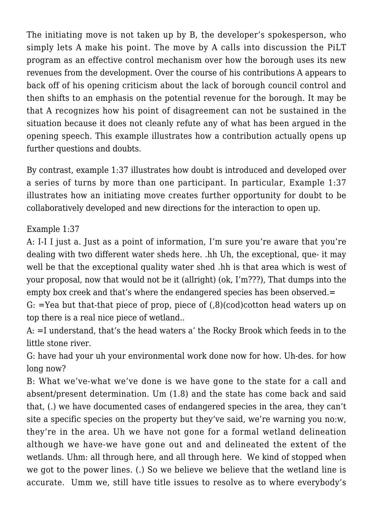The initiating move is not taken up by B, the developer's spokesperson, who simply lets A make his point. The move by A calls into discussion the PiLT program as an effective control mechanism over how the borough uses its new revenues from the development. Over the course of his contributions A appears to back off of his opening criticism about the lack of borough council control and then shifts to an emphasis on the potential revenue for the borough. It may be that A recognizes how his point of disagreement can not be sustained in the situation because it does not cleanly refute any of what has been argued in the opening speech. This example illustrates how a contribution actually opens up further questions and doubts.

By contrast, example 1:37 illustrates how doubt is introduced and developed over a series of turns by more than one participant. In particular, Example 1:37 illustrates how an initiating move creates further opportunity for doubt to be collaboratively developed and new directions for the interaction to open up.

## Example 1:37

A: I-I I just a. Just as a point of information, I'm sure you're aware that you're dealing with two different water sheds here. .hh Uh, the exceptional, que- it may well be that the exceptional quality water shed .hh is that area which is west of your proposal, now that would not be it (allright) (ok, I'm???), That dumps into the empty box creek and that's where the endangered species has been observed.=

 $G:$  =Yea but that-that piece of prop, piece of  $(0.8)(\text{cod})$  cotton head waters up on top there is a real nice piece of wetland..

A: =I understand, that's the head waters a' the Rocky Brook which feeds in to the little stone river.

G: have had your uh your environmental work done now for how. Uh-des. for how long now?

B: What we've-what we've done is we have gone to the state for a call and absent/present determination. Um (1.8) and the state has come back and said that, (.) we have documented cases of endangered species in the area, they can't site a specific species on the property but they've said, we're warning you no:w, they're in the area. Uh we have not gone for a formal wetland delineation although we have-we have gone out and and delineated the extent of the wetlands. Uhm: all through here, and all through here. We kind of stopped when we got to the power lines. (.) So we believe we believe that the wetland line is accurate. Umm we, still have title issues to resolve as to where everybody's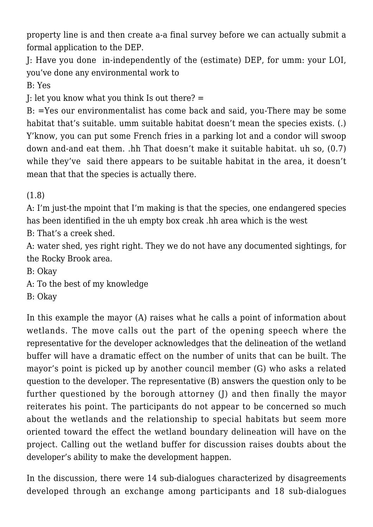property line is and then create a-a final survey before we can actually submit a formal application to the DEP.

J: Have you done in-independently of the (estimate) DEP, for umm: your LOI, you've done any environmental work to B: Yes

 $\ddot{\text{I}}$ : let you know what you think Is out there? =

B: =Yes our environmentalist has come back and said, you-There may be some habitat that's suitable, umm suitable habitat doesn't mean the species exists. (.) Y'know, you can put some French fries in a parking lot and a condor will swoop down and-and eat them. .hh That doesn't make it suitable habitat. uh so, (0.7) while they've said there appears to be suitable habitat in the area, it doesn't mean that that the species is actually there.

(1.8)

A: I'm just-the mpoint that I'm making is that the species, one endangered species has been identified in the uh empty box creak .hh area which is the west

B: That's a creek shed.

A: water shed, yes right right. They we do not have any documented sightings, for the Rocky Brook area.

B: Okay

A: To the best of my knowledge

B: Okay

In this example the mayor (A) raises what he calls a point of information about wetlands. The move calls out the part of the opening speech where the representative for the developer acknowledges that the delineation of the wetland buffer will have a dramatic effect on the number of units that can be built. The mayor's point is picked up by another council member (G) who asks a related question to the developer. The representative (B) answers the question only to be further questioned by the borough attorney (J) and then finally the mayor reiterates his point. The participants do not appear to be concerned so much about the wetlands and the relationship to special habitats but seem more oriented toward the effect the wetland boundary delineation will have on the project. Calling out the wetland buffer for discussion raises doubts about the developer's ability to make the development happen.

In the discussion, there were 14 sub-dialogues characterized by disagreements developed through an exchange among participants and 18 sub-dialogues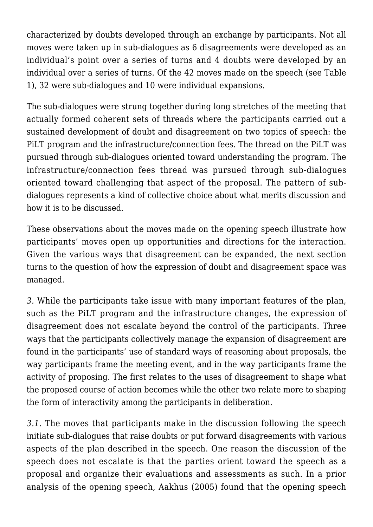characterized by doubts developed through an exchange by participants. Not all moves were taken up in sub-dialogues as 6 disagreements were developed as an individual's point over a series of turns and 4 doubts were developed by an individual over a series of turns. Of the 42 moves made on the speech (see Table 1), 32 were sub-dialogues and 10 were individual expansions.

The sub-dialogues were strung together during long stretches of the meeting that actually formed coherent sets of threads where the participants carried out a sustained development of doubt and disagreement on two topics of speech: the PiLT program and the infrastructure/connection fees. The thread on the PiLT was pursued through sub-dialogues oriented toward understanding the program. The infrastructure/connection fees thread was pursued through sub-dialogues oriented toward challenging that aspect of the proposal. The pattern of subdialogues represents a kind of collective choice about what merits discussion and how it is to be discussed.

These observations about the moves made on the opening speech illustrate how participants' moves open up opportunities and directions for the interaction. Given the various ways that disagreement can be expanded, the next section turns to the question of how the expression of doubt and disagreement space was managed.

*3.* While the participants take issue with many important features of the plan, such as the PiLT program and the infrastructure changes, the expression of disagreement does not escalate beyond the control of the participants. Three ways that the participants collectively manage the expansion of disagreement are found in the participants' use of standard ways of reasoning about proposals, the way participants frame the meeting event, and in the way participants frame the activity of proposing. The first relates to the uses of disagreement to shape what the proposed course of action becomes while the other two relate more to shaping the form of interactivity among the participants in deliberation.

*3.1.* The moves that participants make in the discussion following the speech initiate sub-dialogues that raise doubts or put forward disagreements with various aspects of the plan described in the speech. One reason the discussion of the speech does not escalate is that the parties orient toward the speech as a proposal and organize their evaluations and assessments as such. In a prior analysis of the opening speech, Aakhus (2005) found that the opening speech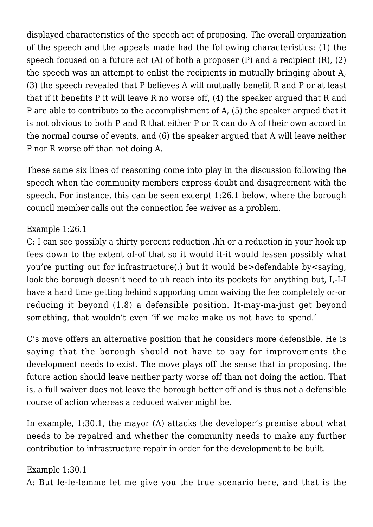displayed characteristics of the speech act of proposing. The overall organization of the speech and the appeals made had the following characteristics: (1) the speech focused on a future act (A) of both a proposer (P) and a recipient (R), (2) the speech was an attempt to enlist the recipients in mutually bringing about A, (3) the speech revealed that P believes A will mutually benefit R and P or at least that if it benefits P it will leave R no worse off, (4) the speaker argued that R and P are able to contribute to the accomplishment of A, (5) the speaker argued that it is not obvious to both P and R that either P or R can do A of their own accord in the normal course of events, and (6) the speaker argued that A will leave neither P nor R worse off than not doing A.

These same six lines of reasoning come into play in the discussion following the speech when the community members express doubt and disagreement with the speech. For instance, this can be seen excerpt 1:26.1 below, where the borough council member calls out the connection fee waiver as a problem.

## Example 1:26.1

C: I can see possibly a thirty percent reduction .hh or a reduction in your hook up fees down to the extent of-of that so it would it-it would lessen possibly what you're putting out for infrastructure(.) but it would be>defendable by<saying, look the borough doesn't need to uh reach into its pockets for anything but, I,-I-I have a hard time getting behind supporting umm waiving the fee completely or-or reducing it beyond (1.8) a defensible position. It-may-ma-just get beyond something, that wouldn't even 'if we make make us not have to spend.'

C's move offers an alternative position that he considers more defensible. He is saying that the borough should not have to pay for improvements the development needs to exist. The move plays off the sense that in proposing, the future action should leave neither party worse off than not doing the action. That is, a full waiver does not leave the borough better off and is thus not a defensible course of action whereas a reduced waiver might be.

In example, 1:30.1, the mayor (A) attacks the developer's premise about what needs to be repaired and whether the community needs to make any further contribution to infrastructure repair in order for the development to be built.

#### Example 1:30.1

A: But le-le-lemme let me give you the true scenario here, and that is the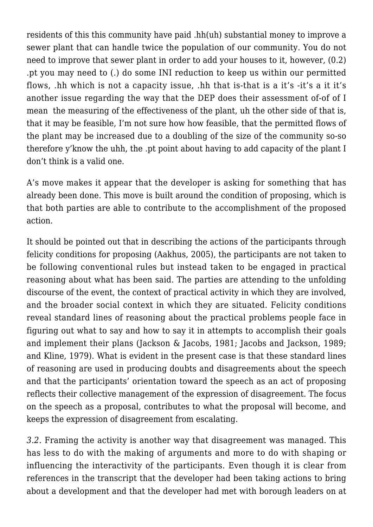residents of this this community have paid .hh(uh) substantial money to improve a sewer plant that can handle twice the population of our community. You do not need to improve that sewer plant in order to add your houses to it, however, (0.2) .pt you may need to (.) do some INI reduction to keep us within our permitted flows, .hh which is not a capacity issue, .hh that is-that is a it's -it's a it it's another issue regarding the way that the DEP does their assessment of-of of I mean the measuring of the effectiveness of the plant, uh the other side of that is, that it may be feasible, I'm not sure how how feasible, that the permitted flows of the plant may be increased due to a doubling of the size of the community so-so therefore y'know the uhh, the .pt point about having to add capacity of the plant I don't think is a valid one.

A's move makes it appear that the developer is asking for something that has already been done. This move is built around the condition of proposing, which is that both parties are able to contribute to the accomplishment of the proposed action.

It should be pointed out that in describing the actions of the participants through felicity conditions for proposing (Aakhus, 2005), the participants are not taken to be following conventional rules but instead taken to be engaged in practical reasoning about what has been said. The parties are attending to the unfolding discourse of the event, the context of practical activity in which they are involved, and the broader social context in which they are situated. Felicity conditions reveal standard lines of reasoning about the practical problems people face in figuring out what to say and how to say it in attempts to accomplish their goals and implement their plans (Jackson & Jacobs, 1981; Jacobs and Jackson, 1989; and Kline, 1979). What is evident in the present case is that these standard lines of reasoning are used in producing doubts and disagreements about the speech and that the participants' orientation toward the speech as an act of proposing reflects their collective management of the expression of disagreement. The focus on the speech as a proposal, contributes to what the proposal will become, and keeps the expression of disagreement from escalating.

*3.2.* Framing the activity is another way that disagreement was managed. This has less to do with the making of arguments and more to do with shaping or influencing the interactivity of the participants. Even though it is clear from references in the transcript that the developer had been taking actions to bring about a development and that the developer had met with borough leaders on at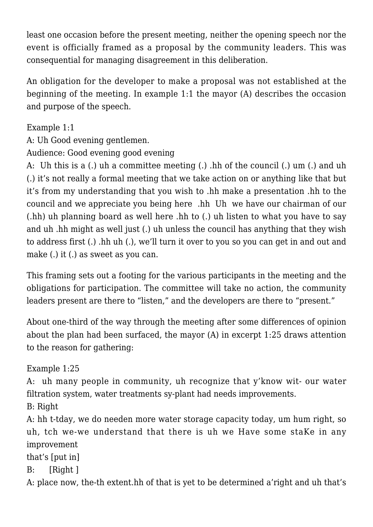least one occasion before the present meeting, neither the opening speech nor the event is officially framed as a proposal by the community leaders. This was consequential for managing disagreement in this deliberation.

An obligation for the developer to make a proposal was not established at the beginning of the meeting. In example 1:1 the mayor (A) describes the occasion and purpose of the speech.

Example 1:1

A: Uh Good evening gentlemen.

Audience: Good evening good evening

A: Uh this is a (.) uh a committee meeting (.) .hh of the council (.) um (.) and uh (.) it's not really a formal meeting that we take action on or anything like that but it's from my understanding that you wish to .hh make a presentation .hh to the council and we appreciate you being here .hh Uh we have our chairman of our (.hh) uh planning board as well here .hh to (.) uh listen to what you have to say and uh .hh might as well just (.) uh unless the council has anything that they wish to address first (.) .hh uh (.), we'll turn it over to you so you can get in and out and make (.) it (.) as sweet as you can.

This framing sets out a footing for the various participants in the meeting and the obligations for participation. The committee will take no action, the community leaders present are there to "listen," and the developers are there to "present."

About one-third of the way through the meeting after some differences of opinion about the plan had been surfaced, the mayor (A) in excerpt 1:25 draws attention to the reason for gathering:

Example 1:25

A: uh many people in community, uh recognize that y'know wit- our water filtration system, water treatments sy-plant had needs improvements.

B: Right

A: hh t-tday, we do needen more water storage capacity today, um hum right, so uh, tch we-we understand that there is uh we Have some staKe in any improvement

that's [put in]

B: [Right ]

A: place now, the-th extent.hh of that is yet to be determined a'right and uh that's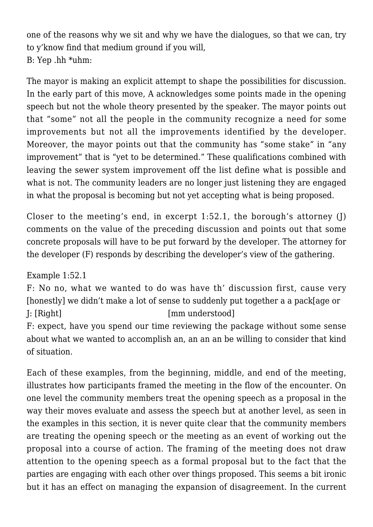one of the reasons why we sit and why we have the dialogues, so that we can, try to y'know find that medium ground if you will, B: Yep .hh \*uhm:

The mayor is making an explicit attempt to shape the possibilities for discussion. In the early part of this move, A acknowledges some points made in the opening speech but not the whole theory presented by the speaker. The mayor points out that "some" not all the people in the community recognize a need for some improvements but not all the improvements identified by the developer. Moreover, the mayor points out that the community has "some stake" in "any improvement" that is "yet to be determined." These qualifications combined with leaving the sewer system improvement off the list define what is possible and what is not. The community leaders are no longer just listening they are engaged in what the proposal is becoming but not yet accepting what is being proposed.

Closer to the meeting's end, in excerpt 1:52.1, the borough's attorney (J) comments on the value of the preceding discussion and points out that some concrete proposals will have to be put forward by the developer. The attorney for the developer (F) responds by describing the developer's view of the gathering.

Example 1:52.1

F: No no, what we wanted to do was have th' discussion first, cause very [honestly] we didn't make a lot of sense to suddenly put together a a pack[age or I: [Right] [mm understood]

F: expect, have you spend our time reviewing the package without some sense about what we wanted to accomplish an, an an an be willing to consider that kind of situation.

Each of these examples, from the beginning, middle, and end of the meeting, illustrates how participants framed the meeting in the flow of the encounter. On one level the community members treat the opening speech as a proposal in the way their moves evaluate and assess the speech but at another level, as seen in the examples in this section, it is never quite clear that the community members are treating the opening speech or the meeting as an event of working out the proposal into a course of action. The framing of the meeting does not draw attention to the opening speech as a formal proposal but to the fact that the parties are engaging with each other over things proposed. This seems a bit ironic but it has an effect on managing the expansion of disagreement. In the current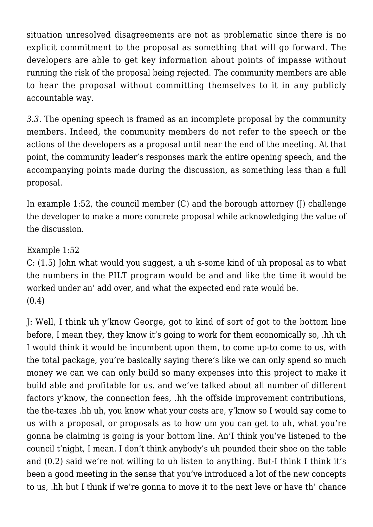situation unresolved disagreements are not as problematic since there is no explicit commitment to the proposal as something that will go forward. The developers are able to get key information about points of impasse without running the risk of the proposal being rejected. The community members are able to hear the proposal without committing themselves to it in any publicly accountable way.

*3.3.* The opening speech is framed as an incomplete proposal by the community members. Indeed, the community members do not refer to the speech or the actions of the developers as a proposal until near the end of the meeting. At that point, the community leader's responses mark the entire opening speech, and the accompanying points made during the discussion, as something less than a full proposal.

In example 1:52, the council member  $(C)$  and the borough attorney  $(I)$  challenge the developer to make a more concrete proposal while acknowledging the value of the discussion.

# Example 1:52

C: (1.5) John what would you suggest, a uh s-some kind of uh proposal as to what the numbers in the PILT program would be and and like the time it would be worked under an' add over, and what the expected end rate would be. (0.4)

J: Well, I think uh y'know George, got to kind of sort of got to the bottom line before, I mean they, they know it's going to work for them economically so, .hh uh I would think it would be incumbent upon them, to come up-to come to us, with the total package, you're basically saying there's like we can only spend so much money we can we can only build so many expenses into this project to make it build able and profitable for us. and we've talked about all number of different factors y'know, the connection fees, .hh the offside improvement contributions, the the-taxes .hh uh, you know what your costs are, y'know so I would say come to us with a proposal, or proposals as to how um you can get to uh, what you're gonna be claiming is going is your bottom line. An'I think you've listened to the council t'night, I mean. I don't think anybody's uh pounded their shoe on the table and (0.2) said we're not willing to uh listen to anything. But-I think I think it's been a good meeting in the sense that you've introduced a lot of the new concepts to us, .hh but I think if we're gonna to move it to the next leve or have th' chance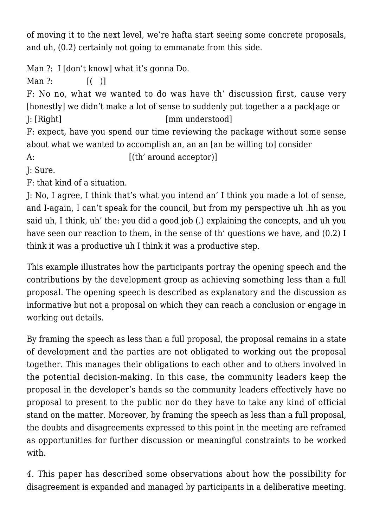of moving it to the next level, we're hafta start seeing some concrete proposals, and uh, (0.2) certainly not going to emmanate from this side.

Man ?: I [don't know] what it's gonna Do.

Man ?:  $[( )]$ 

F: No no, what we wanted to do was have th' discussion first, cause very [honestly] we didn't make a lot of sense to suddenly put together a a pack[age or J: [Right] [mm understood]

F: expect, have you spend our time reviewing the package without some sense about what we wanted to accomplish an, an an [an be willing to] consider

A: [(th' around acceptor)]

J: Sure.

F: that kind of a situation.

J: No, I agree, I think that's what you intend an' I think you made a lot of sense, and I-again, I can't speak for the council, but from my perspective uh .hh as you said uh, I think, uh' the: you did a good job (.) explaining the concepts, and uh you have seen our reaction to them, in the sense of th' questions we have, and (0.2) I think it was a productive uh I think it was a productive step.

This example illustrates how the participants portray the opening speech and the contributions by the development group as achieving something less than a full proposal. The opening speech is described as explanatory and the discussion as informative but not a proposal on which they can reach a conclusion or engage in working out details.

By framing the speech as less than a full proposal, the proposal remains in a state of development and the parties are not obligated to working out the proposal together. This manages their obligations to each other and to others involved in the potential decision-making. In this case, the community leaders keep the proposal in the developer's hands so the community leaders effectively have no proposal to present to the public nor do they have to take any kind of official stand on the matter. Moreover, by framing the speech as less than a full proposal, the doubts and disagreements expressed to this point in the meeting are reframed as opportunities for further discussion or meaningful constraints to be worked with.

*4.* This paper has described some observations about how the possibility for disagreement is expanded and managed by participants in a deliberative meeting.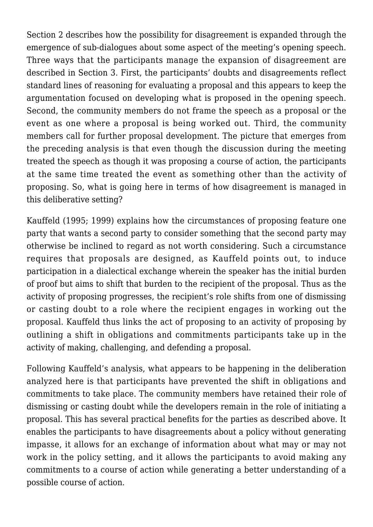Section 2 describes how the possibility for disagreement is expanded through the emergence of sub-dialogues about some aspect of the meeting's opening speech. Three ways that the participants manage the expansion of disagreement are described in Section 3. First, the participants' doubts and disagreements reflect standard lines of reasoning for evaluating a proposal and this appears to keep the argumentation focused on developing what is proposed in the opening speech. Second, the community members do not frame the speech as a proposal or the event as one where a proposal is being worked out. Third, the community members call for further proposal development. The picture that emerges from the preceding analysis is that even though the discussion during the meeting treated the speech as though it was proposing a course of action, the participants at the same time treated the event as something other than the activity of proposing. So, what is going here in terms of how disagreement is managed in this deliberative setting?

Kauffeld (1995; 1999) explains how the circumstances of proposing feature one party that wants a second party to consider something that the second party may otherwise be inclined to regard as not worth considering. Such a circumstance requires that proposals are designed, as Kauffeld points out, to induce participation in a dialectical exchange wherein the speaker has the initial burden of proof but aims to shift that burden to the recipient of the proposal. Thus as the activity of proposing progresses, the recipient's role shifts from one of dismissing or casting doubt to a role where the recipient engages in working out the proposal. Kauffeld thus links the act of proposing to an activity of proposing by outlining a shift in obligations and commitments participants take up in the activity of making, challenging, and defending a proposal.

Following Kauffeld's analysis, what appears to be happening in the deliberation analyzed here is that participants have prevented the shift in obligations and commitments to take place. The community members have retained their role of dismissing or casting doubt while the developers remain in the role of initiating a proposal. This has several practical benefits for the parties as described above. It enables the participants to have disagreements about a policy without generating impasse, it allows for an exchange of information about what may or may not work in the policy setting, and it allows the participants to avoid making any commitments to a course of action while generating a better understanding of a possible course of action.